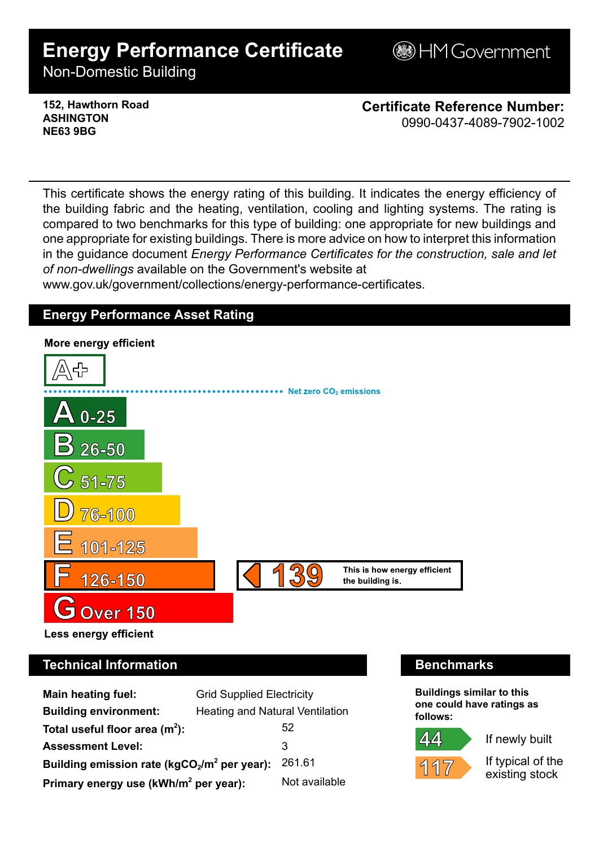# **Energy Performance Certificate**

**BHM Government** 

Non-Domestic Building

### **152, Hawthorn Road ASHINGTON NE63 9BG**

**Certificate Reference Number:** 0990-0437-4089-7902-1002

This certificate shows the energy rating of this building. It indicates the energy efficiency of the building fabric and the heating, ventilation, cooling and lighting systems. The rating is compared to two benchmarks for this type of building: one appropriate for new buildings and one appropriate for existing buildings. There is more advice on how to interpret this information in the guidance document *Energy Performance Certificates for the construction, sale and let of non-dwellings* available on the Government's website at

www.gov.uk/government/collections/energy-performance-certificates.

# **Energy Performance Asset Rating**



# **Technical Information Benchmarks**

| <b>Main heating fuel:</b>                         | <b>Grid Supplied Electricity</b>       |               |
|---------------------------------------------------|----------------------------------------|---------------|
| <b>Building environment:</b>                      | <b>Heating and Natural Ventilation</b> |               |
| Total useful floor area $(m2)$ :                  |                                        | 52            |
| <b>Assessment Level:</b>                          |                                        | 3             |
| Building emission rate ( $kgCO2/m2$ per year):    |                                        | 261.61        |
| Primary energy use (kWh/m <sup>2</sup> per year): |                                        | Not available |

**Buildings similar to this one could have ratings as follows:**

If newly built



If typical of the existing stock